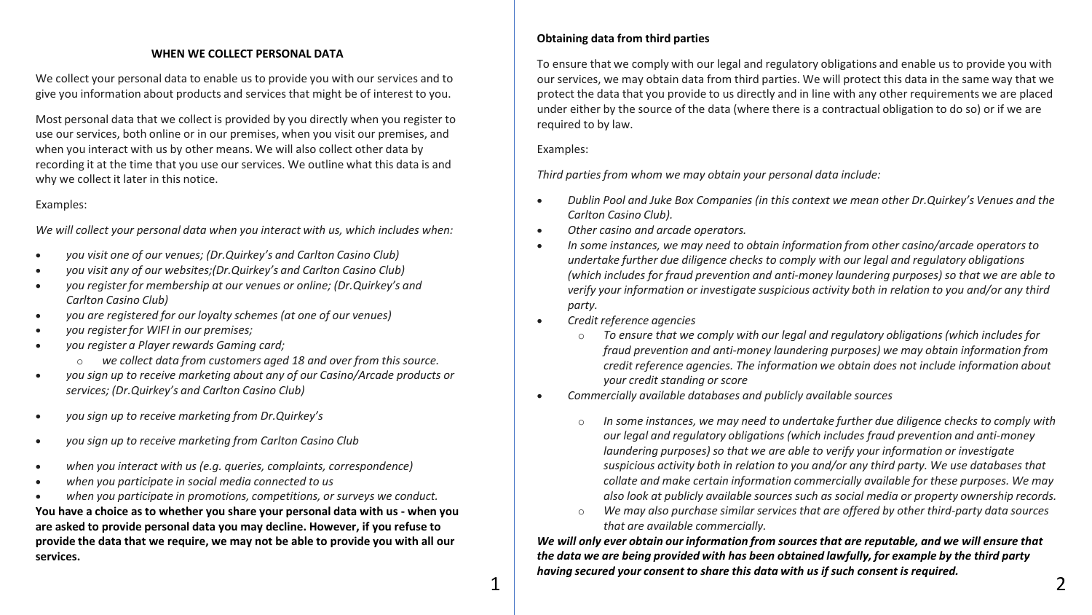## **WHEN WE COLLECT PERSONAL DATA**

We collect your personal data to enable us to provide you with our services and to give you information about products and services that might be of interest to you.

Most personal data that we collect is provided by you directly when you register to use our services, both online or in our premises, when you visit our premises, and when you interact with us by other means. We will also collect other data by recording it at the time that you use our services. We outline what this data is and why we collect it later in this notice.

## Examples:

*We will collect your personal data when you interact with us, which includes when:*

- *you visit one of our venues; (Dr.Quirkey's and Carlton Casino Club)*
- *you visit any of our websites;(Dr.Quirkey's and Carlton Casino Club)*
- *you register for membership at our venues or online; (Dr.Quirkey's and Carlton Casino Club)*
- *you are registered for our loyalty schemes (at one of our venues)*
- *you register for WIFI in our premises;*
- *you register a Player rewards Gaming card;*
	- o *we collect data from customers aged 18 and over from this source.*
- *you sign up to receive marketing about any of our Casino/Arcade products or services; (Dr.Quirkey's and Carlton Casino Club)*
- *you sign up to receive marketing from Dr.Quirkey's*
- *you sign up to receive marketing from Carlton Casino Club*
- *when you interact with us (e.g. queries, complaints, correspondence)*
- *when you participate in social media connected to us*
- *when you participate in promotions, competitions, or surveys we conduct.*

**You have a choice as to whether you share your personal data with us - when you are asked to provide personal data you may decline. However, if you refuse to provide the data that we require, we may not be able to provide you with all our services.**

# **Obtaining data from third parties**

To ensure that we comply with our legal and regulatory obligations and enable us to provide you with our services, we may obtain data from third parties. We will protect this data in the same way that we protect the data that you provide to us directly and in line with any other requirements we are placed under either by the source of the data (where there is a contractual obligation to do so) or if we are required to by law.

Examples:

*Third parties from whom we may obtain your personal data include:*

- *Dublin Pool and Juke Box Companies (in this context we mean other Dr.Quirkey's Venues and the Carlton Casino Club).*
- *Other casino and arcade operators.*
- *In some instances, we may need to obtain information from other casino/arcade operators to undertake further due diligence checks to comply with our legal and regulatory obligations (which includes for fraud prevention and anti-money laundering purposes) so that we are able to verify your information or investigate suspicious activity both in relation to you and/or any third party.*
- *Credit reference agencies*
	- o *To ensure that we comply with our legal and regulatory obligations (which includes for fraud prevention and anti-money laundering purposes) we may obtain information from credit reference agencies. The information we obtain does not include information about your credit standing or score*
- *Commercially available databases and publicly available sources*
	- In some instances, we may need to undertake further due diligence checks to comply with *our legal and regulatory obligations (which includes fraud prevention and anti-money laundering purposes) so that we are able to verify your information or investigate suspicious activity both in relation to you and/or any third party. We use databases that collate and make certain information commercially available for these purposes. We may also look at publicly available sources such as social media or property ownership records.*
	- o *We may also purchase similar services that are offered by other third-party data sources that are available commercially.*

*We will only ever obtain our information from sources that are reputable, and we will ensure that the data we are being provided with has been obtained lawfully, for example by the third party having secured your consent to share this data with us if such consent is required.*  $1 \mid$   $2 \mid$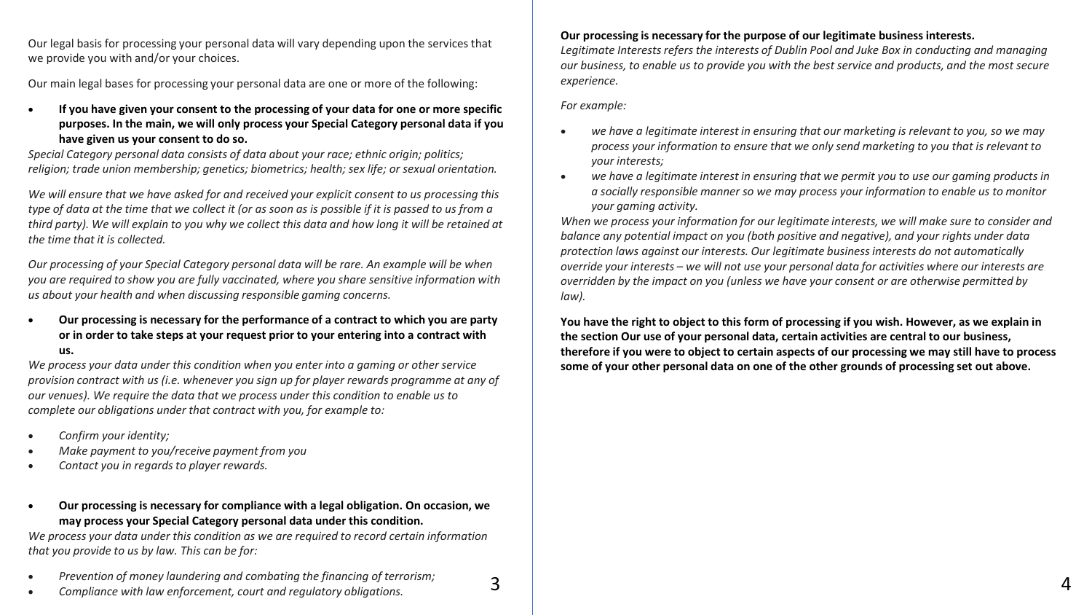Our legal basis for processing your personal data will vary depending upon the services that we provide you with and/or your choices.

Our main legal bases for processing your personal data are one or more of the following:

• **If you have given your consent to the processing of your data for one or more specific purposes. In the main, we will only process your Special Category personal data if you have given us your consent to do so.**

*Special Category personal data consists of data about your race; ethnic origin; politics; religion; trade union membership; genetics; biometrics; health; sex life; or sexual orientation.*

*We will ensure that we have asked for and received your explicit consent to us processing this type of data at the time that we collect it (or as soon as is possible if it is passed to us from a third party). We will explain to you why we collect this data and how long it will be retained at the time that it is collected.*

*Our processing of your Special Category personal data will be rare. An example will be when you are required to show you are fully vaccinated, where you share sensitive information with us about your health and when discussing responsible gaming concerns.*

• **Our processing is necessary for the performance of a contract to which you are party or in order to take steps at your request prior to your entering into a contract with us.**

*We process your data under this condition when you enter into a gaming or other service provision contract with us (i.e. whenever you sign up for player rewards programme at any of our venues). We require the data that we process under this condition to enable us to complete our obligations under that contract with you, for example to:*

- *Confirm your identity;*
- *Make payment to you/receive payment from you*
- *Contact you in regards to player rewards.*
- **Our processing is necessary for compliance with a legal obligation. On occasion, we may process your Special Category personal data under this condition.**

*We process your data under this condition as we are required to record certain information that you provide to us by law. This can be for:*

• *Prevention of money laundering and combating the financing of terrorism;*

**Our processing is necessary for the purpose of our legitimate business interests***.*

*Legitimate Interests refers the interests of Dublin Pool and Juke Box in conducting and managing our business, to enable us to provide you with the best service and products, and the most secure experience.*

*For example:*

- *we have a legitimate interest in ensuring that our marketing is relevant to you, so we may process your information to ensure that we only send marketing to you that is relevant to your interests;*
- *we have a legitimate interest in ensuring that we permit you to use our gaming products in a socially responsible manner so we may process your information to enable us to monitor your gaming activity.*

*When we process your information for our legitimate interests, we will make sure to consider and balance any potential impact on you (both positive and negative), and your rights under data protection laws against our interests. Our legitimate business interests do not automatically override your interests – we will not use your personal data for activities where our interests are overridden by the impact on you (unless we have your consent or are otherwise permitted by law).*

**You have the right to object to this form of processing if you wish. However, as we explain in the section Our use of your personal data, certain activities are central to our business, therefore if you were to object to certain aspects of our processing we may still have to process some of your other personal data on one of the other grounds of processing set out above.**

• *Compliance with law enforcement, court and regulatory obligations.*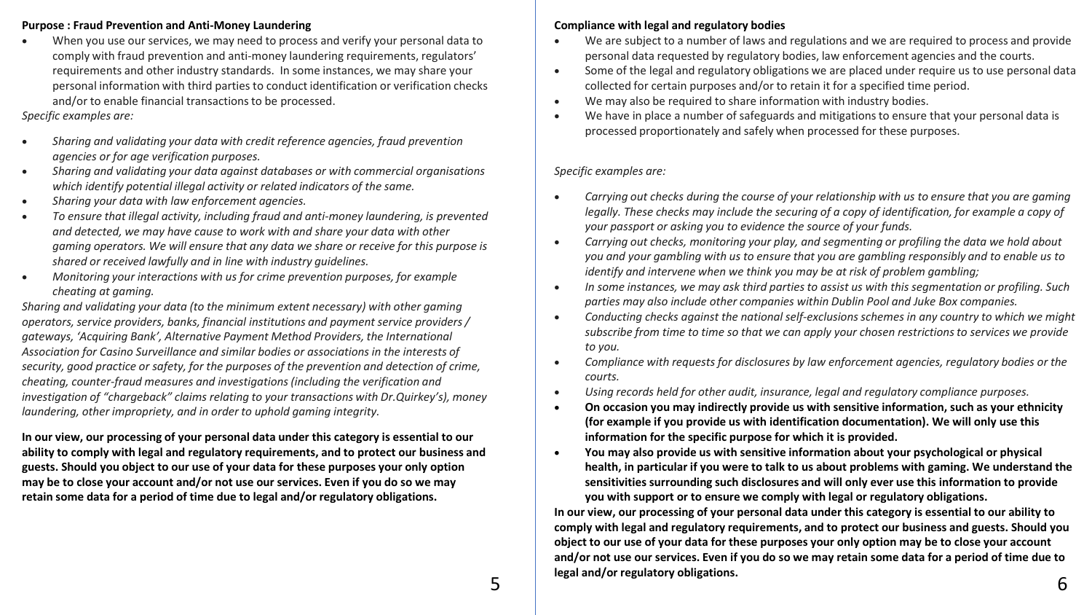### **Purpose : Fraud Prevention and Anti-Money Laundering**

• When you use our services, we may need to process and verify your personal data to comply with fraud prevention and anti-money laundering requirements, regulators' requirements and other industry standards. In some instances, we may share your personal information with third parties to conduct identification or verification checks and/or to enable financial transactions to be processed.

# *Specific examples are:*

- *Sharing and validating your data with credit reference agencies, fraud prevention agencies or for age verification purposes.*
- *Sharing and validating your data against databases or with commercial organisations which identify potential illegal activity or related indicators of the same.*
- *Sharing your data with law enforcement agencies.*
- *To ensure that illegal activity, including fraud and anti-money laundering, is prevented and detected, we may have cause to work with and share your data with other gaming operators. We will ensure that any data we share or receive for this purpose is shared or received lawfully and in line with industry guidelines.*
- *Monitoring your interactions with us for crime prevention purposes, for example cheating at gaming.*

*Sharing and validating your data (to the minimum extent necessary) with other gaming operators, service providers, banks, financial institutions and payment service providers / gateways, 'Acquiring Bank', Alternative Payment Method Providers, the International Association for Casino Surveillance and similar bodies or associations in the interests of security, good practice or safety, for the purposes of the prevention and detection of crime, cheating, counter-fraud measures and investigations (including the verification and investigation of "chargeback" claims relating to your transactions with Dr.Quirkey's), money laundering, other impropriety, and in order to uphold gaming integrity.*

**In our view, our processing of your personal data under this category is essential to our ability to comply with legal and regulatory requirements, and to protect our business and guests. Should you object to our use of your data for these purposes your only option may be to close your account and/or not use our services. Even if you do so we may retain some data for a period of time due to legal and/or regulatory obligations.**

# **Compliance with legal and regulatory bodies**

- We are subject to a number of laws and regulations and we are required to process and provide personal data requested by regulatory bodies, law enforcement agencies and the courts.
- Some of the legal and regulatory obligations we are placed under require us to use personal data collected for certain purposes and/or to retain it for a specified time period.
- We may also be required to share information with industry bodies.
- We have in place a number of safeguards and mitigations to ensure that your personal data is processed proportionately and safely when processed for these purposes.

# *Specific examples are:*

- *Carrying out checks during the course of your relationship with us to ensure that you are gaming legally. These checks may include the securing of a copy of identification, for example a copy of your passport or asking you to evidence the source of your funds.*
- *Carrying out checks, monitoring your play, and segmenting or profiling the data we hold about you and your gambling with us to ensure that you are gambling responsibly and to enable us to identify and intervene when we think you may be at risk of problem gambling;*
- *In some instances, we may ask third parties to assist us with this segmentation or profiling. Such parties may also include other companies within Dublin Pool and Juke Box companies.*
- *Conducting checks against the national self-exclusions schemes in any country to which we might subscribe from time to time so that we can apply your chosen restrictions to services we provide to you.*
- *Compliance with requests for disclosures by law enforcement agencies, regulatory bodies or the courts.*
- *Using records held for other audit, insurance, legal and regulatory compliance purposes.*
- **On occasion you may indirectly provide us with sensitive information, such as your ethnicity (for example if you provide us with identification documentation). We will only use this information for the specific purpose for which it is provided.**
- **You may also provide us with sensitive information about your psychological or physical health, in particular if you were to talk to us about problems with gaming. We understand the sensitivities surrounding such disclosures and will only ever use this information to provide you with support or to ensure we comply with legal or regulatory obligations.**

**In our view, our processing of your personal data under this category is essential to our ability to comply with legal and regulatory requirements, and to protect our business and guests. Should you object to our use of your data for these purposes your only option may be to close your account and/or not use our services. Even if you do so we may retain some data for a period of time due to legal and/or regulatory obligations.** 5 **6**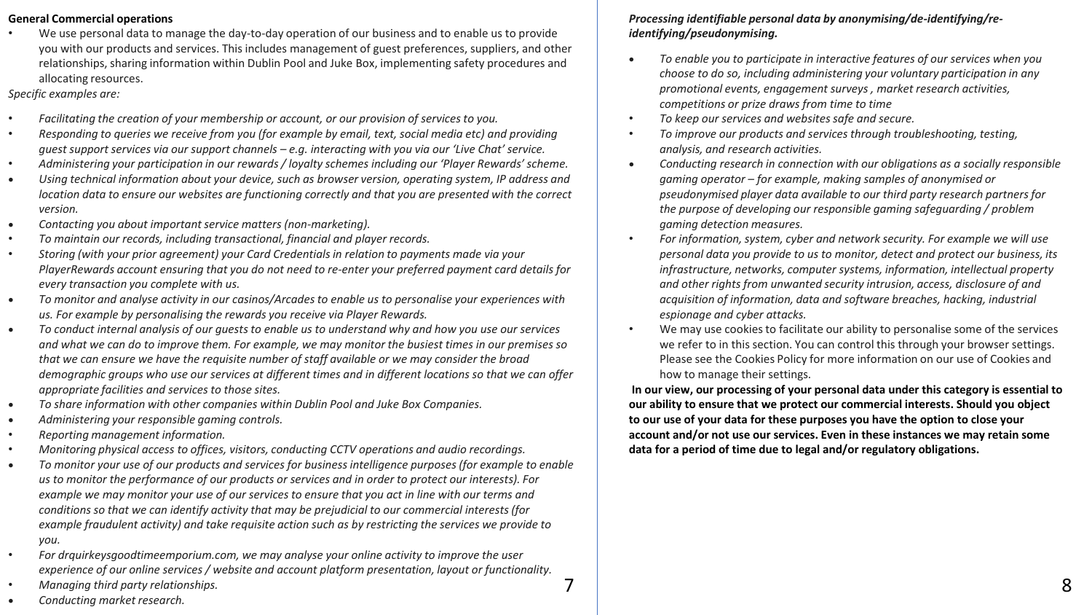### **General Commercial operations**

• We use personal data to manage the day-to-day operation of our business and to enable us to provide you with our products and services. This includes management of guest preferences, suppliers, and other relationships, sharing information within Dublin Pool and Juke Box, implementing safety procedures and allocating resources.

*Specific examples are:*

- *Facilitating the creation of your membership or account, or our provision of services to you.*
- *Responding to queries we receive from you (for example by email, text, social media etc) and providing guest support services via our support channels – e.g. interacting with you via our 'Live Chat' service.*
- *Administering your participation in our rewards / loyalty schemes including our 'Player Rewards' scheme.*
- *Using technical information about your device, such as browser version, operating system, IP address and location data to ensure our websites are functioning correctly and that you are presented with the correct version.*
- *Contacting you about important service matters (non-marketing).*
- *To maintain our records, including transactional, financial and player records.*
- *Storing (with your prior agreement) your Card Credentials in relation to payments made via your PlayerRewards account ensuring that you do not need to re-enter your preferred payment card details for every transaction you complete with us.*
- *To monitor and analyse activity in our casinos/Arcades to enable us to personalise your experiences with us. For example by personalising the rewards you receive via Player Rewards.*
- *To conduct internal analysis of our guests to enable us to understand why and how you use our services and what we can do to improve them. For example, we may monitor the busiest times in our premises so that we can ensure we have the requisite number of staff available or we may consider the broad demographic groups who use our services at different times and in different locations so that we can offer appropriate facilities and services to those sites.*
- *To share information with other companies within Dublin Pool and Juke Box Companies.*
- *Administering your responsible gaming controls.*
- *Reporting management information.*
- *Monitoring physical access to offices, visitors, conducting CCTV operations and audio recordings.*
- *To monitor your use of our products and services for business intelligence purposes (for example to enable us to monitor the performance of our products or services and in order to protect our interests). For example we may monitor your use of our services to ensure that you act in line with our terms and conditions so that we can identify activity that may be prejudicial to our commercial interests (for example fraudulent activity) and take requisite action such as by restricting the services we provide to you.*
- *For drquirkeysgoodtimeemporium.com, we may analyse your online activity to improve the user experience of our online services / website and account platform presentation, layout or functionality.*
- *Managing third party relationships.*

# *Processing identifiable personal data by anonymising/de-identifying/reidentifying/pseudonymising.*

- *To enable you to participate in interactive features of our services when you choose to do so, including administering your voluntary participation in any promotional events, engagement surveys , market research activities, competitions or prize draws from time to time*
- *To keep our services and websites safe and secure.*
- *To improve our products and services through troubleshooting, testing, analysis, and research activities.*
- *Conducting research in connection with our obligations as a socially responsible gaming operator – for example, making samples of anonymised or pseudonymised player data available to our third party research partners for the purpose of developing our responsible gaming safeguarding / problem gaming detection measures.*
- *For information, system, cyber and network security. For example we will use personal data you provide to us to monitor, detect and protect our business, its infrastructure, networks, computer systems, information, intellectual property and other rights from unwanted security intrusion, access, disclosure of and acquisition of information, data and software breaches, hacking, industrial espionage and cyber attacks.*
- We may use cookies to facilitate our ability to personalise some of the services we refer to in this section. You can control this through your browser settings. Please see the Cookies Policy for more information on our use of Cookies and how to manage their settings.

**In our view, our processing of your personal data under this category is essential to our ability to ensure that we protect our commercial interests. Should you object to our use of your data for these purposes you have the option to close your account and/or not use our services. Even in these instances we may retain some data for a period of time due to legal and/or regulatory obligations.**

• *Conducting market research.*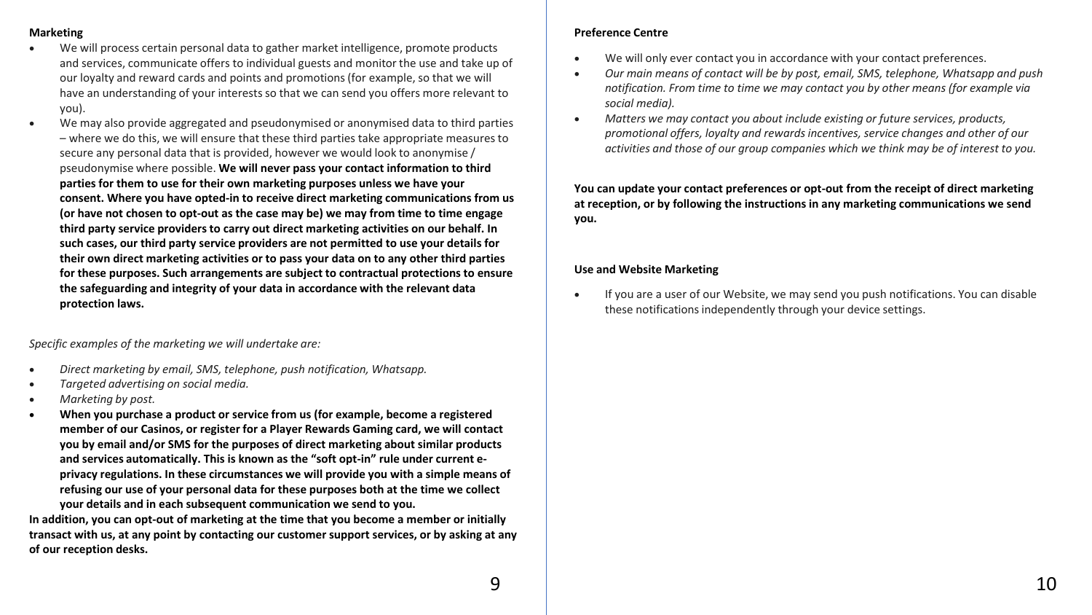# **Marketing**

- We will process certain personal data to gather market intelligence, promote products and services, communicate offers to individual guests and monitor the use and take up of our loyalty and reward cards and points and promotions (for example, so that we will have an understanding of your interests so that we can send you offers more relevant to you).
- We may also provide aggregated and pseudonymised or anonymised data to third parties – where we do this, we will ensure that these third parties take appropriate measures to secure any personal data that is provided, however we would look to anonymise / pseudonymise where possible. **We will never pass your contact information to third parties for them to use for their own marketing purposes unless we have your consent. Where you have opted-in to receive direct marketing communications from us (or have not chosen to opt-out as the case may be) we may from time to time engage third party service providers to carry out direct marketing activities on our behalf. In such cases, our third party service providers are not permitted to use your details for their own direct marketing activities or to pass your data on to any other third parties for these purposes. Such arrangements are subject to contractual protections to ensure the safeguarding and integrity of your data in accordance with the relevant data protection laws.**

*Specific examples of the marketing we will undertake are:*

- *Direct marketing by email, SMS, telephone, push notification, Whatsapp.*
- *Targeted advertising on social media.*
- *Marketing by post.*
- **When you purchase a product or service from us (for example, become a registered member of our Casinos, or register for a Player Rewards Gaming card, we will contact you by email and/or SMS for the purposes of direct marketing about similar products and services automatically. This is known as the "soft opt-in" rule under current eprivacy regulations. In these circumstances we will provide you with a simple means of refusing our use of your personal data for these purposes both at the time we collect your details and in each subsequent communication we send to you.**

**In addition, you can opt-out of marketing at the time that you become a member or initially transact with us, at any point by contacting our customer support services, or by asking at any of our reception desks.**

# **Preference Centre**

- We will only ever contact you in accordance with your contact preferences.
- *Our main means of contact will be by post, email, SMS, telephone, Whatsapp and push notification. From time to time we may contact you by other means (for example via social media).*
- *Matters we may contact you about include existing or future services, products, promotional offers, loyalty and rewards incentives, service changes and other of our activities and those of our group companies which we think may be of interest to you.*

**You can update your contact preferences or opt-out from the receipt of direct marketing at reception, or by following the instructions in any marketing communications we send you.**

# **Use and Website Marketing**

• If you are a user of our Website, we may send you push notifications. You can disable these notifications independently through your device settings.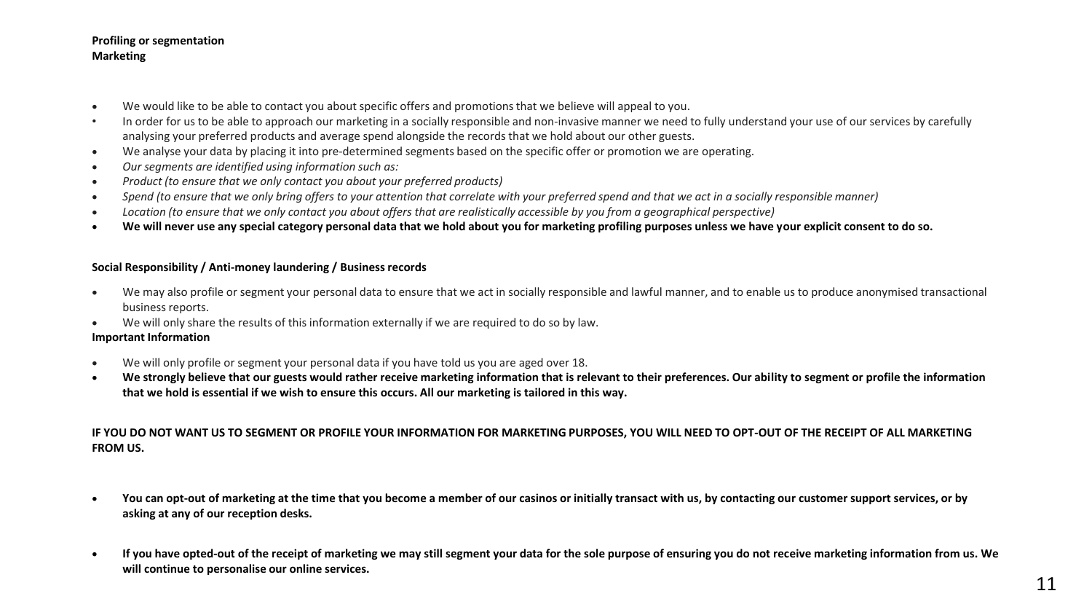### **Profiling or segmentation Marketing**

- We would like to be able to contact you about specific offers and promotions that we believe will appeal to you.
- In order for us to be able to approach our marketing in a socially responsible and non-invasive manner we need to fully understand your use of our services by carefully analysing your preferred products and average spend alongside the records that we hold about our other guests.
- We analyse your data by placing it into pre-determined segments based on the specific offer or promotion we are operating.
- *Our segments are identified using information such as:*
- *Product (to ensure that we only contact you about your preferred products)*
- *Spend (to ensure that we only bring offers to your attention that correlate with your preferred spend and that we act in a socially responsible manner)*
- *Location (to ensure that we only contact you about offers that are realistically accessible by you from a geographical perspective)*
- **We will never use any special category personal data that we hold about you for marketing profiling purposes unless we have your explicit consent to do so.**

### **Social Responsibility / Anti-money laundering / Business records**

- We may also profile or segment your personal data to ensure that we act in socially responsible and lawful manner, and to enable us to produce anonymised transactional business reports.
- We will only share the results of this information externally if we are required to do so by law.

#### **Important Information**

- We will only profile or segment your personal data if you have told us you are aged over 18.
- **We strongly believe that our guests would rather receive marketing information that is relevant to their preferences. Our ability to segment or profile the information that we hold is essential if we wish to ensure this occurs. All our marketing is tailored in this way.**

# **IF YOU DO NOT WANT US TO SEGMENT OR PROFILE YOUR INFORMATION FOR MARKETING PURPOSES, YOU WILL NEED TO OPT-OUT OF THE RECEIPT OF ALL MARKETING FROM US.**

- **You can opt-out of marketing at the time that you become a member of our casinos or initially transact with us, by contacting our customer support services, or by asking at any of our reception desks.**
- **If you have opted-out of the receipt of marketing we may still segment your data for the sole purpose of ensuring you do not receive marketing information from us. We will continue to personalise our online services.**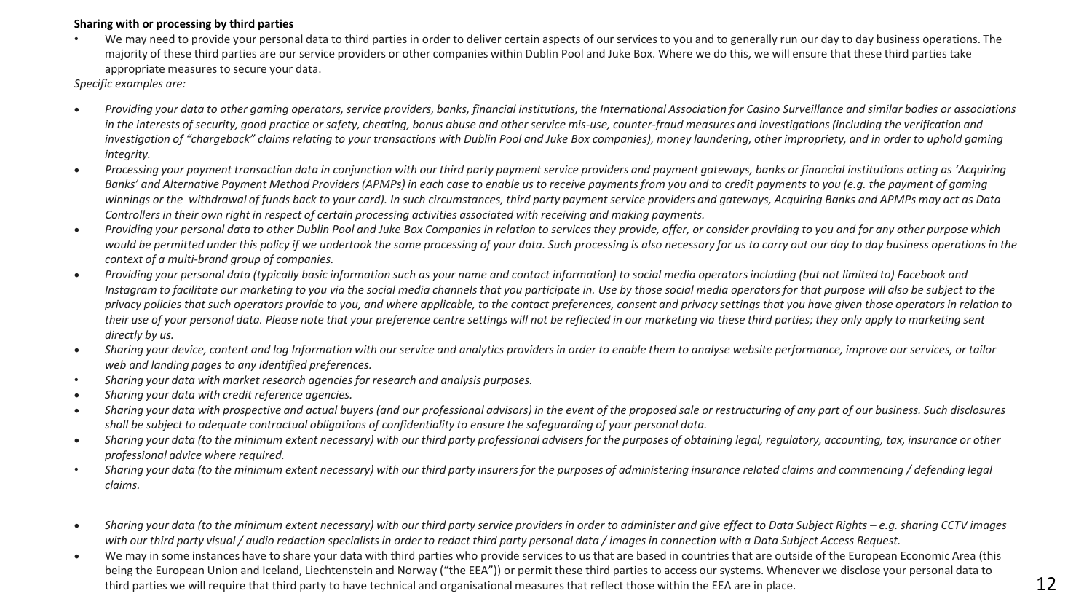# **Sharing with or processing by third parties**

We may need to provide your personal data to third parties in order to deliver certain aspects of our services to you and to generally run our day to day business operations. The majority of these third parties are our service providers or other companies within Dublin Pool and Juke Box. Where we do this, we will ensure that these third parties take appropriate measures to secure your data.

*Specific examples are:*

- *Providing your data to other gaming operators, service providers, banks, financial institutions, the International Association for Casino Surveillance and similar bodies or associations*  in the interests of security, good practice or safety, cheating, bonus abuse and other service mis-use, counter-fraud measures and investigations (including the verification and investigation of "chargeback" claims relating to your transactions with Dublin Pool and Juke Box companies), money laundering, other impropriety, and in order to uphold gaming *integrity.*
- *Processing your payment transaction data in conjunction with our third party payment service providers and payment gateways, banks or financial institutions acting as 'Acquiring*  Banks' and Alternative Payment Method Providers (APMPs) in each case to enable us to receive payments from you and to credit payments to you (e.g. the payment of gaming *winnings or the withdrawal of funds back to your card). In such circumstances, third party payment service providers and gateways, Acquiring Banks and APMPs may act as Data Controllers in their own right in respect of certain processing activities associated with receiving and making payments.*
- *Providing your personal data to other Dublin Pool and Juke Box Companies in relation to services they provide, offer, or consider providing to you and for any other purpose which would be permitted under this policy if we undertook the same processing of your data. Such processing is also necessary for us to carry out our day to day business operations in the context of a multi-brand group of companies.*
- *Providing your personal data (typically basic information such as your name and contact information) to social media operators including (but not limited to) Facebook and Instagram to facilitate our marketing to you via the social media channels that you participate in. Use by those social media operators for that purpose will also be subject to the privacy policies that such operators provide to you, and where applicable, to the contact preferences, consent and privacy settings that you have given those operators in relation to their use of your personal data. Please note that your preference centre settings will not be reflected in our marketing via these third parties; they only apply to marketing sent directly by us.*
- *Sharing your device, content and log Information with our service and analytics providers in order to enable them to analyse website performance, improve our services, or tailor web and landing pages to any identified preferences.*
- *Sharing your data with market research agencies for research and analysis purposes.*
- *Sharing your data with credit reference agencies.*
- *Sharing your data with prospective and actual buyers (and our professional advisors) in the event of the proposed sale or restructuring of any part of our business. Such disclosures shall be subject to adequate contractual obligations of confidentiality to ensure the safeguarding of your personal data.*
- *Sharing your data (to the minimum extent necessary) with our third party professional advisers for the purposes of obtaining legal, regulatory, accounting, tax, insurance or other professional advice where required.*
- *Sharing your data (to the minimum extent necessary) with our third party insurers for the purposes of administering insurance related claims and commencing / defending legal claims.*
- *Sharing your data (to the minimum extent necessary) with our third party service providers in order to administer and give effect to Data Subject Rights – e.g. sharing CCTV images with our third party visual / audio redaction specialists in order to redact third party personal data / images in connection with a Data Subject Access Request.*
- We may in some instances have to share your data with third parties who provide services to us that are based in countries that are outside of the European Economic Area (this being the European Union and Iceland, Liechtenstein and Norway ("the EEA")) or permit these third parties to access our systems. Whenever we disclose your personal data to third parties we will require that third party to have technical and organisational measures that reflect those within the EEA are in place.  $12$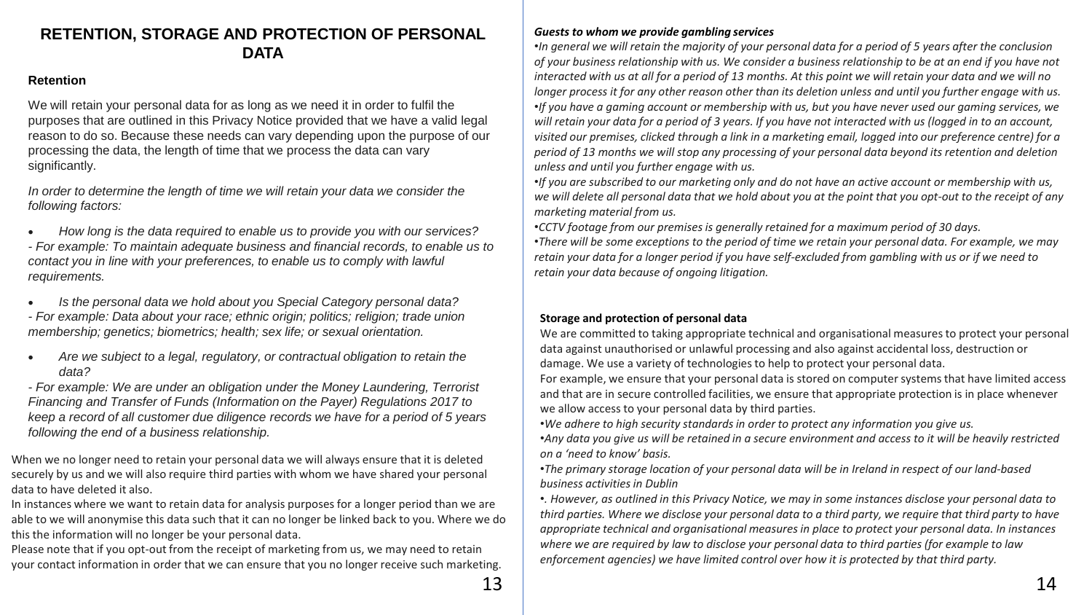# **RETENTION, STORAGE AND PROTECTION OF PERSONAL DATA**

# **Retention**

We will retain your personal data for as long as we need it in order to fulfil the purposes that are outlined in this Privacy Notice provided that we have a valid legal reason to do so. Because these needs can vary depending upon the purpose of our processing the data, the length of time that we process the data can vary significantly.

*In order to determine the length of time we will retain your data we consider the following factors:*

• *How long is the data required to enable us to provide you with our services? - For example: To maintain adequate business and financial records, to enable us to contact you in line with your preferences, to enable us to comply with lawful requirements.*

• *Is the personal data we hold about you Special Category personal data?*

*- For example: Data about your race; ethnic origin; politics; religion; trade union membership; genetics; biometrics; health; sex life; or sexual orientation.*

• *Are we subject to a legal, regulatory, or contractual obligation to retain the data?*

*- For example: We are under an obligation under the Money Laundering, Terrorist Financing and Transfer of Funds (Information on the Payer) Regulations 2017 to keep a record of all customer due diligence records we have for a period of 5 years following the end of a business relationship.* 

When we no longer need to retain your personal data we will always ensure that it is deleted securely by us and we will also require third parties with whom we have shared your personal data to have deleted it also.

In instances where we want to retain data for analysis purposes for a longer period than we are able to we will anonymise this data such that it can no longer be linked back to you. Where we do this the information will no longer be your personal data.

Please note that if you opt-out from the receipt of marketing from us, we may need to retain your contact information in order that we can ensure that you no longer receive such marketing.

•*In general we will retain the majority of your personal data for a period of 5 years after the conclusion of your business relationship with us. We consider a business relationship to be at an end if you have not interacted with us at all for a period of 13 months. At this point we will retain your data and we will no longer process it for any other reason other than its deletion unless and until you further engage with us.* •*If you have a gaming account or membership with us, but you have never used our gaming services, we will retain your data for a period of 3 years. If you have not interacted with us (logged in to an account, visited our premises, clicked through a link in a marketing email, logged into our preference centre) for a period of 13 months we will stop any processing of your personal data beyond its retention and deletion unless and until you further engage with us.*

•*If you are subscribed to our marketing only and do not have an active account or membership with us, we will delete all personal data that we hold about you at the point that you opt-out to the receipt of any marketing material from us.*

•*CCTV footage from our premises is generally retained for a maximum period of 30 days.* •*There will be some exceptions to the period of time we retain your personal data. For example, we may retain your data for a longer period if you have self-excluded from gambling with us or if we need to retain your data because of ongoing litigation.*

# **Storage and protection of personal data**

We are committed to taking appropriate technical and organisational measures to protect your personal data against unauthorised or unlawful processing and also against accidental loss, destruction or damage. We use a variety of technologies to help to protect your personal data.

For example, we ensure that your personal data is stored on computer systems that have limited access and that are in secure controlled facilities, we ensure that appropriate protection is in place whenever we allow access to your personal data by third parties.

•*We adhere to high security standards in order to protect any information you give us.*

•*Any data you give us will be retained in a secure environment and access to it will be heavily restricted on a 'need to know' basis.*

•*The primary storage location of your personal data will be in Ireland in respect of our land-based business activities in Dublin*

•*. However, as outlined in this Privacy Notice, we may in some instances disclose your personal data to third parties. Where we disclose your personal data to a third party, we require that third party to have appropriate technical and organisational measures in place to protect your personal data. In instances where we are required by law to disclose your personal data to third parties (for example to law enforcement agencies) we have limited control over how it is protected by that third party.*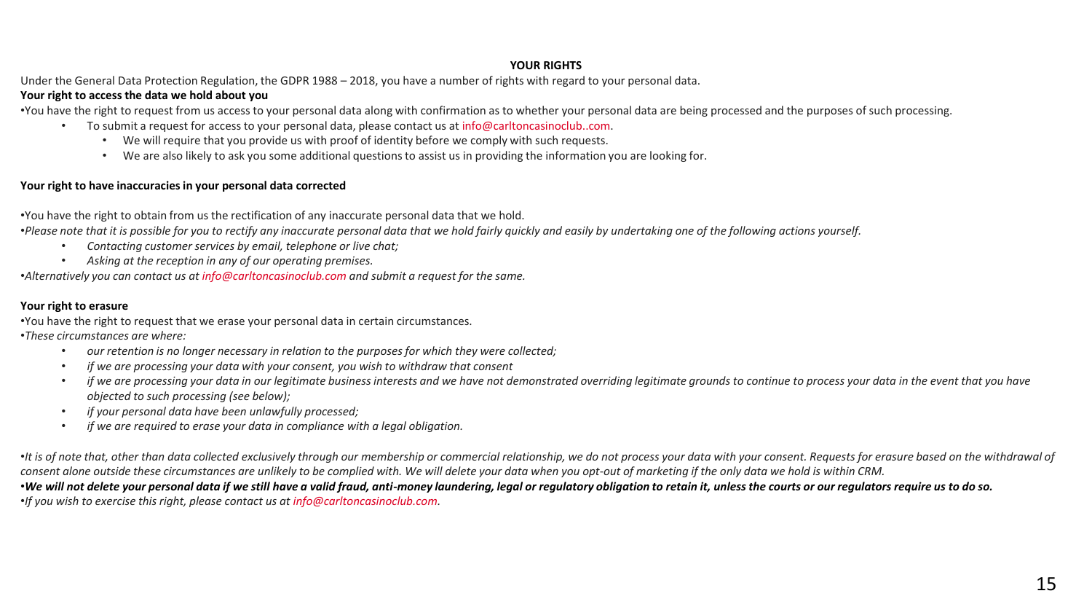## **YOUR RIGHTS**

Under the General Data Protection Regulation, the GDPR 1988 – 2018, you have a number of rights with regard to your personal data.

# **Your right to access the data we hold about you**

•You have the right to request from us access to your personal data along with confirmation as to whether your personal data are being processed and the purposes of such processing.

- To submit a request for access to your personal data, please contact us at info@carltoncasinoclub..com.
	- We will require that you provide us with proof of identity before we comply with such requests.
	- We are also likely to ask you some additional questions to assist us in providing the information you are looking for.

## **Your right to have inaccuracies in your personal data corrected**

•You have the right to obtain from us the rectification of any inaccurate personal data that we hold.

•*Please note that it is possible for you to rectify any inaccurate personal data that we hold fairly quickly and easily by undertaking one of the following actions yourself.*

- *Contacting customer services by email, telephone or live chat;*
- *Asking at the reception in any of our operating premises.*

•*Alternatively you can contact us at info@carltoncasinoclub.com and submit a request for the same.*

### **Your right to erasure**

•You have the right to request that we erase your personal data in certain circumstances. •*These circumstances are where:*

- *our retention is no longer necessary in relation to the purposes for which they were collected;*
- *if we are processing your data with your consent, you wish to withdraw that consent*
- *if we are processing your data in our legitimate business interests and we have not demonstrated overriding legitimate grounds to continue to process your data in the event that you have objected to such processing (see below);*
- *if your personal data have been unlawfully processed;*
- *if we are required to erase your data in compliance with a legal obligation.*

•*It is of note that, other than data collected exclusively through our membership or commercial relationship, we do not process your data with your consent. Requests for erasure based on the withdrawal of consent alone outside these circumstances are unlikely to be complied with. We will delete your data when you opt-out of marketing if the only data we hold is within CRM.*

•*We will not delete your personal data if we still have a valid fraud, anti-money laundering, legal or regulatory obligation to retain it, unless the courts or our regulators require us to do so.* •*If you wish to exercise this right, please contact us at info@carltoncasinoclub.com.*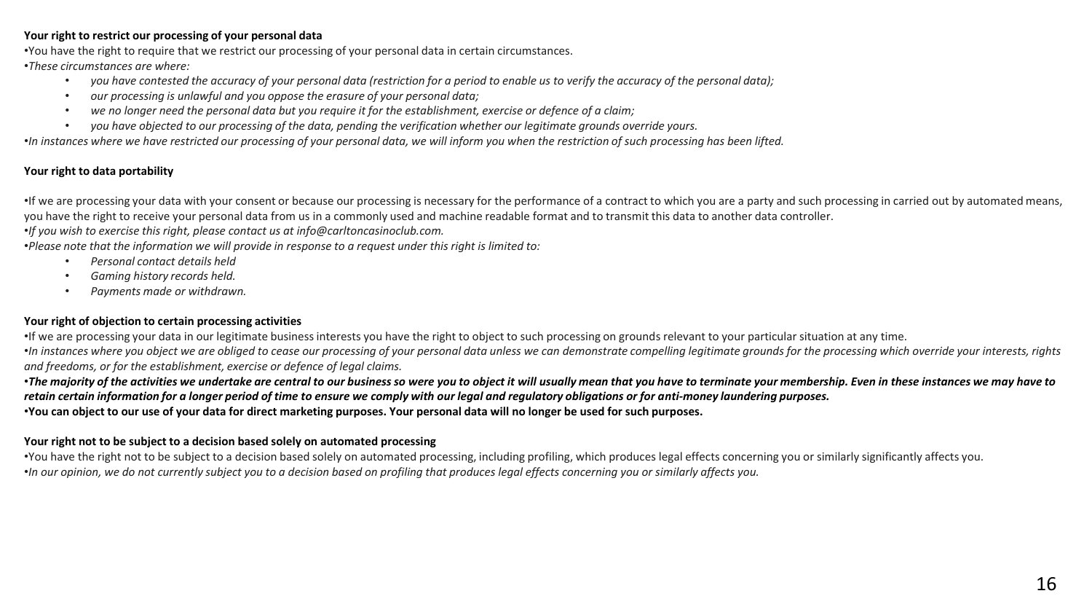### **Your right to restrict our processing of your personal data**

•You have the right to require that we restrict our processing of your personal data in certain circumstances.

•*These circumstances are where:*

- *you have contested the accuracy of your personal data (restriction for a period to enable us to verify the accuracy of the personal data);*
- *our processing is unlawful and you oppose the erasure of your personal data;*
- *we no longer need the personal data but you require it for the establishment, exercise or defence of a claim;*
- *you have objected to our processing of the data, pending the verification whether our legitimate grounds override yours.*

•*In instances where we have restricted our processing of your personal data, we will inform you when the restriction of such processing has been lifted.*

# **Your right to data portability**

•If we are processing your data with your consent or because our processing is necessary for the performance of a contract to which you are a party and such processing in carried out by automated means, you have the right to receive your personal data from us in a commonly used and machine readable format and to transmit this data to another data controller.

•*If you wish to exercise this right, please contact us at info@carltoncasinoclub.com.*

•*Please note that the information we will provide in response to a request under this right is limited to:*

- *Personal contact details held*
- *Gaming history records held.*
- *Payments made or withdrawn.*

# **Your right of objection to certain processing activities**

•If we are processing your data in our legitimate business interests you have the right to object to such processing on grounds relevant to your particular situation at any time. •*In instances where you object we are obliged to cease our processing of your personal data unless we can demonstrate compelling legitimate grounds for the processing which override your interests, rights and freedoms, or for the establishment, exercise or defence of legal claims.*

•*The majority of the activities we undertake are central to our business so were you to object it will usually mean that you have to terminate your membership. Even in these instances we may have to retain certain information for a longer period of time to ensure we comply with our legal and regulatory obligations or for anti-money laundering purposes.* •**You can object to our use of your data for direct marketing purposes. Your personal data will no longer be used for such purposes.**

# **Your right not to be subject to a decision based solely on automated processing**

•You have the right not to be subject to a decision based solely on automated processing, including profiling, which produces legal effects concerning you or similarly significantly affects you. •*In our opinion, we do not currently subject you to a decision based on profiling that produces legal effects concerning you or similarly affects you.*